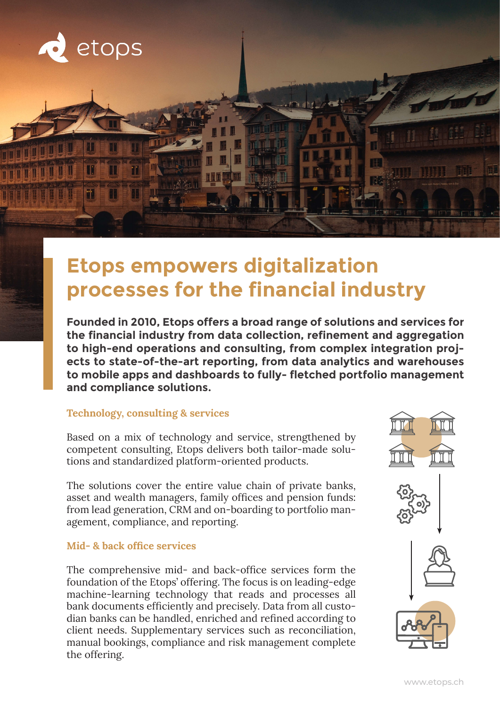

# **Etops empowers digitalization processes for the financial industry**

**Founded in 2010, Etops offers a broad range of solutions and services for the financial industry from data collection, refinement and aggregation to high-end operations and consulting, from complex integration projects to state-of-the-art reporting, from data analytics and warehouses to mobile apps and dashboards to fully- fletched portfolio management and compliance solutions.**

### **Technology, consulting & services**

Based on a mix of technology and service, strengthened by competent consulting, Etops delivers both tailor-made solutions and standardized platform-oriented products.

The solutions cover the entire value chain of private banks, asset and wealth managers, family offices and pension funds: from lead generation, CRM and on-boarding to portfolio management, compliance, and reporting.

### **Mid- & back office services**

The comprehensive mid- and back-office services form the foundation of the Etops' offering. The focus is on leading-edge machine-learning technology that reads and processes all bank documents efficiently and precisely. Data from all custodian banks can be handled, enriched and refined according to client needs. Supplementary services such as reconciliation, manual bookings, compliance and risk management complete the offering.